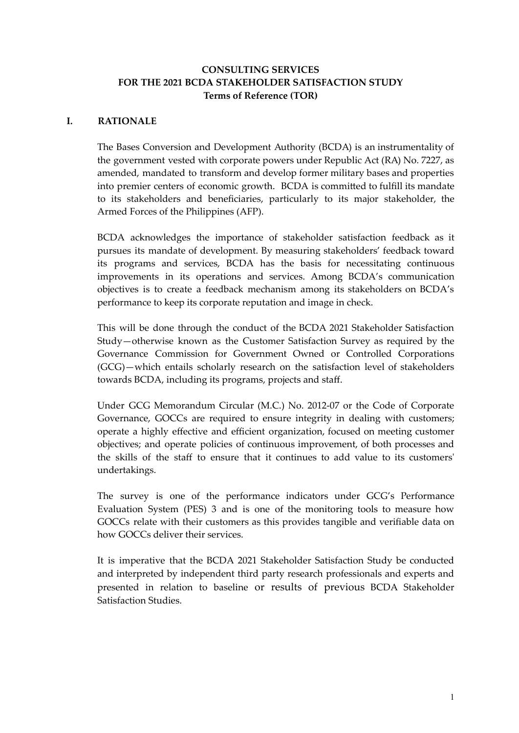## **CONSULTING SERVICES FOR THE 2021 BCDA STAKEHOLDER SATISFACTION STUDY Terms of Reference (TOR)**

### **I. RATIONALE**

The Bases Conversion and Development Authority (BCDA) is an instrumentality of the government vested with corporate powers under Republic Act (RA) No. 7227, as amended, mandated to transform and develop former military bases and properties into premier centers of economic growth. BCDA is committed to fulfill its mandate to its stakeholders and beneficiaries, particularly to its major stakeholder, the Armed Forces of the Philippines (AFP).

BCDA acknowledges the importance of stakeholder satisfaction feedback as it pursues its mandate of development. By measuring stakeholders' feedback toward its programs and services, BCDA has the basis for necessitating continuous improvements in its operations and services. Among BCDA's communication objectives is to create a feedback mechanism among its stakeholders on BCDA's performance to keep its corporate reputation and image in check.

This will be done through the conduct of the BCDA 2021 Stakeholder Satisfaction Study—otherwise known as the Customer Satisfaction Survey as required by the Governance Commission for Government Owned or Controlled Corporations (GCG)—which entails scholarly research on the satisfaction level of stakeholders towards BCDA, including its programs, projects and staff.

Under GCG Memorandum Circular (M.C.) No. 2012-07 or the Code of Corporate Governance, GOCCs are required to ensure integrity in dealing with customers; operate a highly effective and efficient organization, focused on meeting customer objectives; and operate policies of continuous improvement, of both processes and the skills of the staff to ensure that it continues to add value to its customers' undertakings.

The survey is one of the performance indicators under GCG's Performance Evaluation System (PES) 3 and is one of the monitoring tools to measure how GOCCs relate with their customers as this provides tangible and verifiable data on how GOCCs deliver their services.

It is imperative that the BCDA 2021 Stakeholder Satisfaction Study be conducted and interpreted by independent third party research professionals and experts and presented in relation to baseline or results of previous BCDA Stakeholder Satisfaction Studies.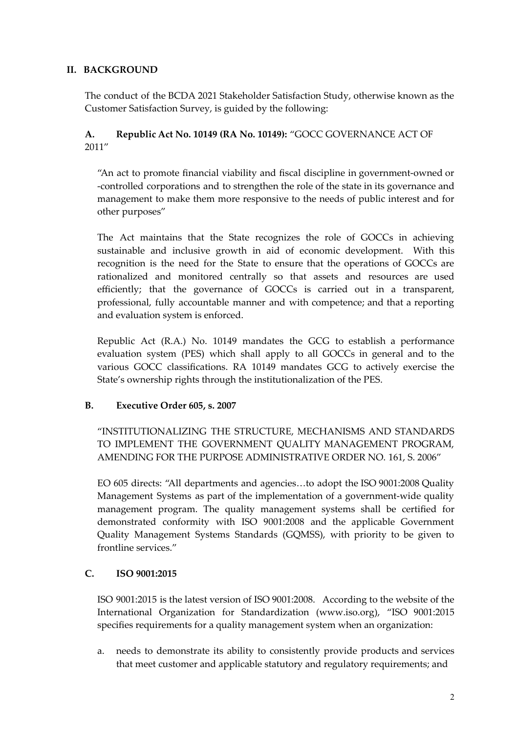# **II. BACKGROUND**

The conduct of the BCDA 2021 Stakeholder Satisfaction Study, otherwise known as the Customer Satisfaction Survey, is guided by the following:

# **A. Republic Act No. 10149 (RA No. 10149):** "GOCC GOVERNANCE ACT OF 2011"

"An act to promote financial viability and fiscal discipline in government-owned or -controlled corporations and to strengthen the role of the state in its governance and management to make them more responsive to the needs of public interest and for other purposes"

The Act maintains that the State recognizes the role of GOCCs in achieving sustainable and inclusive growth in aid of economic development. With this recognition is the need for the State to ensure that the operations of GOCCs are rationalized and monitored centrally so that assets and resources are used efficiently; that the governance of GOCCs is carried out in a transparent, professional, fully accountable manner and with competence; and that a reporting and evaluation system is enforced.

Republic Act (R.A.) No. 10149 mandates the GCG to establish a performance evaluation system (PES) which shall apply to all GOCCs in general and to the various GOCC classifications. RA 10149 mandates GCG to actively exercise the State's ownership rights through the institutionalization of the PES.

# **B. Executive Order 605, s. 2007**

"INSTITUTIONALIZING THE STRUCTURE, MECHANISMS AND STANDARDS TO IMPLEMENT THE GOVERNMENT QUALITY MANAGEMENT PROGRAM, AMENDING FOR THE PURPOSE ADMINISTRATIVE ORDER NO. 161, S. 2006"

EO 605 directs: "All departments and agencies…to adopt the ISO 9001:2008 Quality Management Systems as part of the implementation of a government-wide quality management program. The quality management systems shall be certified for demonstrated conformity with ISO 9001:2008 and the applicable Government Quality Management Systems Standards (GQMSS), with priority to be given to frontline services."

# **C. ISO 9001:2015**

ISO 9001:2015 is the latest version of ISO 9001:2008. According to the website of the International Organization for Standardization (www.iso.org), "ISO 9001:2015 specifies requirements for a quality management system when an organization:

a. needs to demonstrate its ability to consistently provide products and services that meet customer and applicable statutory and regulatory requirements; and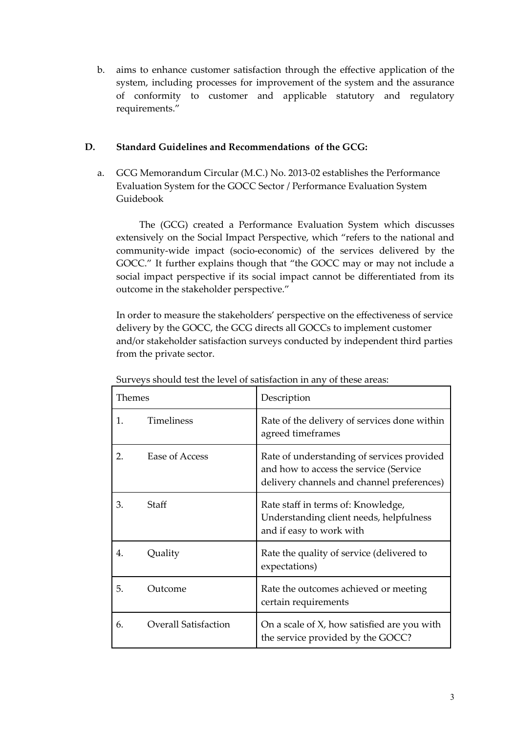b. aims to enhance customer satisfaction through the effective application of the system, including processes for improvement of the system and the assurance of conformity to customer and applicable statutory and regulatory requirements."

## **D. Standard Guidelines and Recommendations of the GCG:**

a. GCG Memorandum Circular (M.C.) No. 2013-02 establishes the Performance Evaluation System for the GOCC Sector / Performance Evaluation System Guidebook

The (GCG) created a Performance Evaluation System which discusses extensively on the Social Impact Perspective, which "refers to the national and community-wide impact (socio-economic) of the services delivered by the GOCC." It further explains though that "the GOCC may or may not include a social impact perspective if its social impact cannot be differentiated from its outcome in the stakeholder perspective."

In order to measure the stakeholders' perspective on the effectiveness of service delivery by the GOCC, the GCG directs all GOCCs to implement customer and/or stakeholder satisfaction surveys conducted by independent third parties from the private sector.

| Themes |                             | Description                                                                                                                        |
|--------|-----------------------------|------------------------------------------------------------------------------------------------------------------------------------|
| 1.     | <b>Timeliness</b>           | Rate of the delivery of services done within<br>agreed timeframes                                                                  |
| 2.     | Ease of Access              | Rate of understanding of services provided<br>and how to access the service (Service<br>delivery channels and channel preferences) |
| 3.     | Staff                       | Rate staff in terms of: Knowledge,<br>Understanding client needs, helpfulness<br>and if easy to work with                          |
| 4.     | Quality                     | Rate the quality of service (delivered to<br>expectations)                                                                         |
| 5.     | Outcome                     | Rate the outcomes achieved or meeting<br>certain requirements                                                                      |
| 6.     | <b>Overall Satisfaction</b> | On a scale of X, how satisfied are you with<br>the service provided by the GOCC?                                                   |

Surveys should test the level of satisfaction in any of these areas: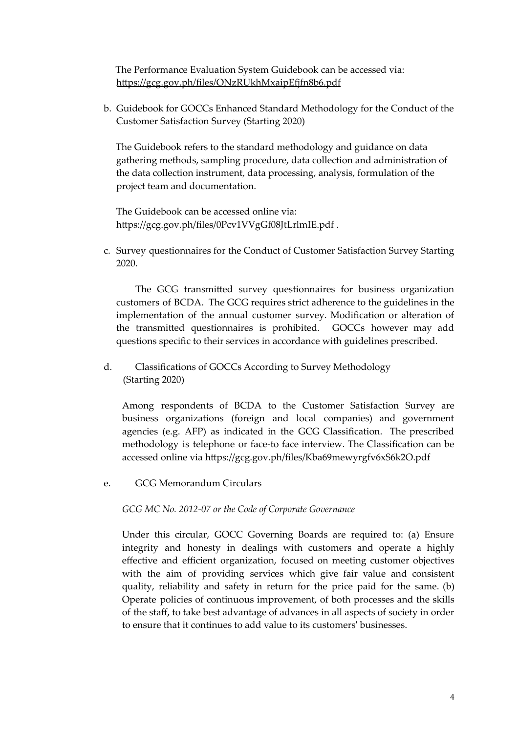The Performance Evaluation System Guidebook can be accessed via: <https://gcg.gov.ph/files/ONzRUkhMxaipEfjfn8b6.pdf>

b. Guidebook for GOCCs Enhanced Standard Methodology for the Conduct of the Customer Satisfaction Survey (Starting 2020)

The Guidebook refers to the standard methodology and guidance on data gathering methods, sampling procedure, data collection and administration of the data collection instrument, data processing, analysis, formulation of the project team and documentation.

The Guidebook can be accessed online via: <https://gcg.gov.ph/files/0Pcv1VVgGf08JtLrlmIE.pdf> .

c. Survey questionnaires for the Conduct of Customer Satisfaction Survey Starting 2020.

The GCG transmitted survey questionnaires for business organization customers of BCDA. The GCG requires strict adherence to the guidelines in the implementation of the annual customer survey. Modification or alteration of the transmitted questionnaires is prohibited. GOCCs however may add questions specific to their services in accordance with guidelines prescribed.

d. Classifications of GOCCs According to Survey Methodology (Starting 2020)

Among respondents of BCDA to the Customer Satisfaction Survey are business organizations (foreign and local companies) and government agencies (e.g. AFP) as indicated in the GCG Classification. The prescribed methodology is telephone or face-to face interview. The Classification can be accessed online via <https://gcg.gov.ph/files/Kba69mewyrgfv6xS6k2O.pdf>

e. GCG Memorandum Circulars

*GCG MC No. 2012-07 or the Code of Corporate Governance*

Under this circular, GOCC Governing Boards are required to: (a) Ensure integrity and honesty in dealings with customers and operate a highly effective and efficient organization, focused on meeting customer objectives with the aim of providing services which give fair value and consistent quality, reliability and safety in return for the price paid for the same. (b) Operate policies of continuous improvement, of both processes and the skills of the staff, to take best advantage of advances in all aspects of society in order to ensure that it continues to add value to its customers' businesses.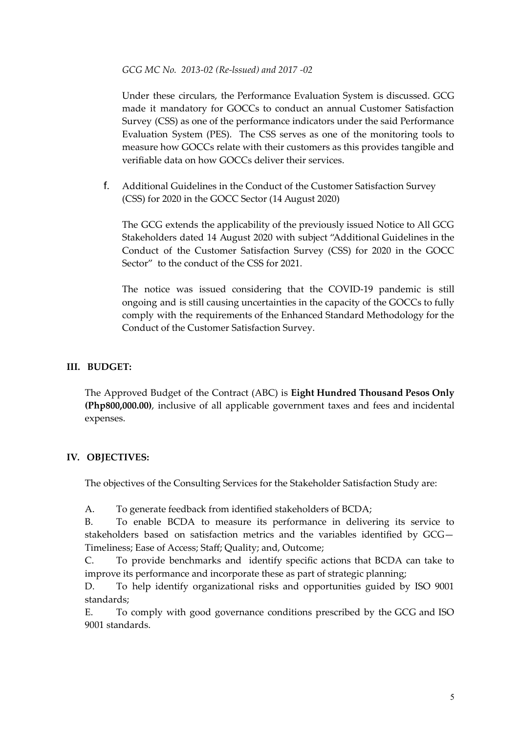#### *GCG MC No. 2013-02 (Re-lssued) and 2017 -02*

Under these circulars, the Performance Evaluation System is discussed. GCG made it mandatory for GOCCs to conduct an annual Customer Satisfaction Survey (CSS) as one of the performance indicators under the said Performance Evaluation System (PES). The CSS serves as one of the monitoring tools to measure how GOCCs relate with their customers as this provides tangible and verifiable data on how GOCCs deliver their services.

f. Additional Guidelines in the Conduct of the Customer Satisfaction Survey (CSS) for 2020 in the GOCC Sector (14 August 2020)

The GCG extends the applicability of the previously issued Notice to All GCG Stakeholders dated 14 August 2020 with subject "Additional Guidelines in the Conduct of the Customer Satisfaction Survey (CSS) for 2020 in the GOCC Sector" to the conduct of the CSS for 2021.

The notice was issued considering that the COVID-19 pandemic is still ongoing and is still causing uncertainties in the capacity of the GOCCs to fully comply with the requirements of the Enhanced Standard Methodology for the Conduct of the Customer Satisfaction Survey.

### **III. BUDGET:**

The Approved Budget of the Contract (ABC) is **Eight Hundred Thousand Pesos Only (Php800,000.00)**, inclusive of all applicable government taxes and fees and incidental expenses.

### **IV. OBJECTIVES:**

The objectives of the Consulting Services for the Stakeholder Satisfaction Study are:

A. To generate feedback from identified stakeholders of BCDA;

B. To enable BCDA to measure its performance in delivering its service to stakeholders based on satisfaction metrics and the variables identified by GCG— Timeliness; Ease of Access; Staff; Quality; and, Outcome;

C. To provide benchmarks and identify specific actions that BCDA can take to improve its performance and incorporate these as part of strategic planning;

D. To help identify organizational risks and opportunities guided by ISO 9001 standards;

E. To comply with good governance conditions prescribed by the GCG and ISO 9001 standards.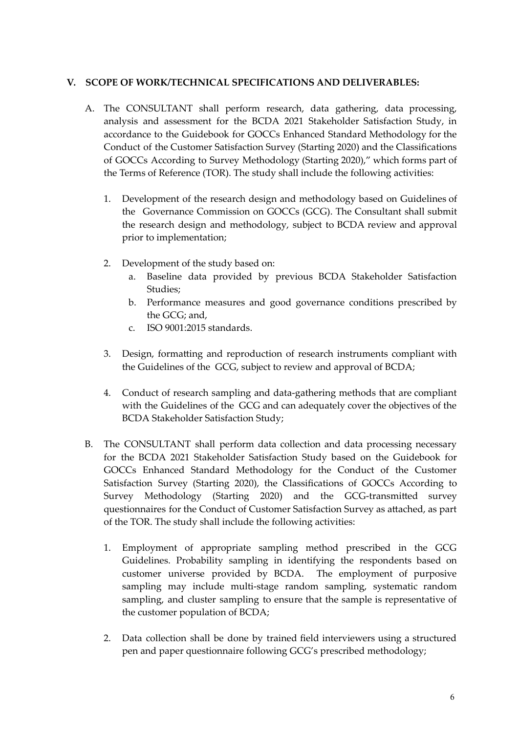### **V. SCOPE OF WORK/TECHNICAL SPECIFICATIONS AND DELIVERABLES:**

- A. The CONSULTANT shall perform research, data gathering, data processing, analysis and assessment for the BCDA 2021 Stakeholder Satisfaction Study, in accordance to the Guidebook for GOCCs Enhanced Standard Methodology for the Conduct of the Customer Satisfaction Survey (Starting 2020) and the Classifications of GOCCs According to Survey Methodology (Starting 2020)," which forms part of the Terms of Reference (TOR). The study shall include the following activities:
	- 1. Development of the research design and methodology based on Guidelines of the Governance Commission on GOCCs (GCG). The Consultant shall submit the research design and methodology, subject to BCDA review and approval prior to implementation;
	- 2. Development of the study based on:
		- a. Baseline data provided by previous BCDA Stakeholder Satisfaction Studies;
		- b. Performance measures and good governance conditions prescribed by the GCG; and,
		- c. ISO 9001:2015 standards.
	- 3. Design, formatting and reproduction of research instruments compliant with the Guidelines of the GCG, subject to review and approval of BCDA;
	- 4. Conduct of research sampling and data-gathering methods that are compliant with the Guidelines of the GCG and can adequately cover the objectives of the BCDA Stakeholder Satisfaction Study;
- B. The CONSULTANT shall perform data collection and data processing necessary for the BCDA 2021 Stakeholder Satisfaction Study based on the Guidebook for GOCCs Enhanced Standard Methodology for the Conduct of the Customer Satisfaction Survey (Starting 2020), the Classifications of GOCCs According to Survey Methodology (Starting 2020) and the GCG-transmitted survey questionnaires for the Conduct of Customer Satisfaction Survey as attached, as part of the TOR. The study shall include the following activities:
	- 1. Employment of appropriate sampling method prescribed in the GCG Guidelines. Probability sampling in identifying the respondents based on customer universe provided by BCDA. The employment of purposive sampling may include multi-stage random sampling, systematic random sampling, and cluster sampling to ensure that the sample is representative of the customer population of BCDA;
	- 2. Data collection shall be done by trained field interviewers using a structured pen and paper questionnaire following GCG's prescribed methodology;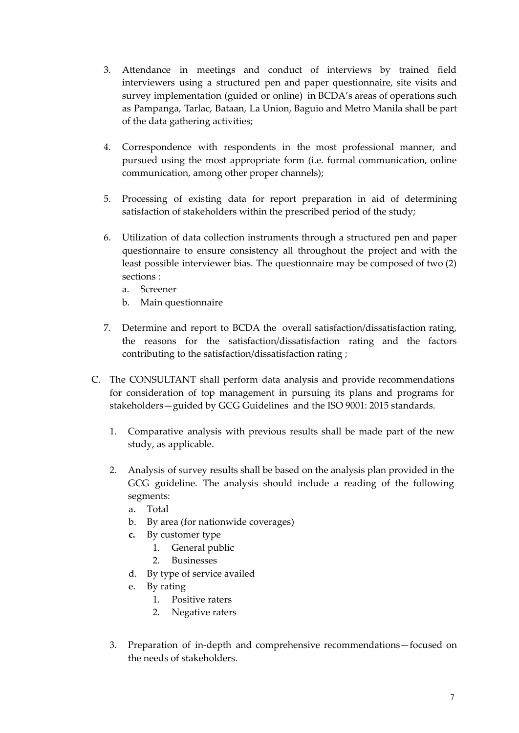- 3. Attendance in meetings and conduct of interviews by trained field interviewers using a structured pen and paper questionnaire, site visits and survey implementation (guided or online) in BCDA's areas of operations such as Pampanga, Tarlac, Bataan, La Union, Baguio and Metro Manila shall be part of the data gathering activities;
- 4. Correspondence with respondents in the most professional manner, and pursued using the most appropriate form (i.e. formal communication, online communication, among other proper channels);
- 5. Processing of existing data for report preparation in aid of determining satisfaction of stakeholders within the prescribed period of the study;
- 6. Utilization of data collection instruments through a structured pen and paper questionnaire to ensure consistency all throughout the project and with the least possible interviewer bias. The questionnaire may be composed of two (2) sections :
	- a. Screener
	- b. Main questionnaire
- 7. Determine and report to BCDA the overall satisfaction/dissatisfaction rating, the reasons for the satisfaction/dissatisfaction rating and the factors contributing to the satisfaction/dissatisfaction rating ;
- C. The CONSULTANT shall perform data analysis and provide recommendations for consideration of top management in pursuing its plans and programs for stakeholders—guided by GCG Guidelines and the ISO 9001: 2015 standards.
	- 1. Comparative analysis with previous results shall be made part of the new study, as applicable.
	- 2. Analysis of survey results shall be based on the analysis plan provided in the GCG guideline. The analysis should include a reading of the following segments:
		- a. Total
		- b. By area (for nationwide coverages)
		- **c.** By customer type
			- 1. General public
			- 2. Businesses
		- d. By type of service availed
		- e. By rating
			- 1. Positive raters
			- 2. Negative raters
	- 3. Preparation of in-depth and comprehensive recommendations—focused on the needs of stakeholders.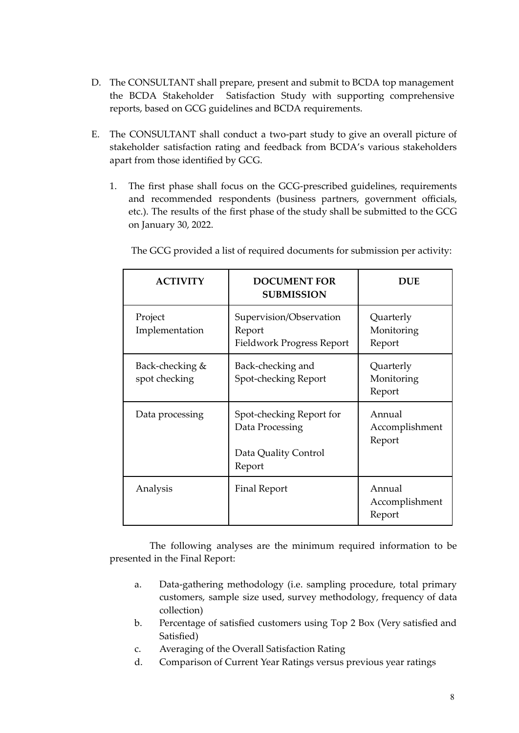- D. The CONSULTANT shall prepare, present and submit to BCDA top management the BCDA Stakeholder Satisfaction Study with supporting comprehensive reports, based on GCG guidelines and BCDA requirements.
- E. The CONSULTANT shall conduct a two-part study to give an overall picture of stakeholder satisfaction rating and feedback from BCDA's various stakeholders apart from those identified by GCG.
	- 1. The first phase shall focus on the GCG-prescribed guidelines, requirements and recommended respondents (business partners, government officials, etc.). The results of the first phase of the study shall be submitted to the GCG on January 30, 2022.

| <b>ACTIVITY</b>                  | <b>DOCUMENT FOR</b><br><b>SUBMISSION</b>                                      | <b>DUE</b>                         |
|----------------------------------|-------------------------------------------------------------------------------|------------------------------------|
| Project<br>Implementation        | Supervision/Observation<br>Report<br>Fieldwork Progress Report                | Quarterly<br>Monitoring<br>Report  |
| Back-checking &<br>spot checking | Back-checking and<br>Spot-checking Report                                     | Quarterly<br>Monitoring<br>Report  |
| Data processing                  | Spot-checking Report for<br>Data Processing<br>Data Quality Control<br>Report | Annual<br>Accomplishment<br>Report |
| Analysis                         | <b>Final Report</b>                                                           | Annual<br>Accomplishment<br>Report |

The GCG provided a list of required documents for submission per activity:

The following analyses are the minimum required information to be presented in the Final Report:

- a. Data-gathering methodology (i.e. sampling procedure, total primary customers, sample size used, survey methodology, frequency of data collection)
- b. Percentage of satisfied customers using Top 2 Box (Very satisfied and Satisfied)
- c. Averaging of the Overall Satisfaction Rating
- d. Comparison of Current Year Ratings versus previous year ratings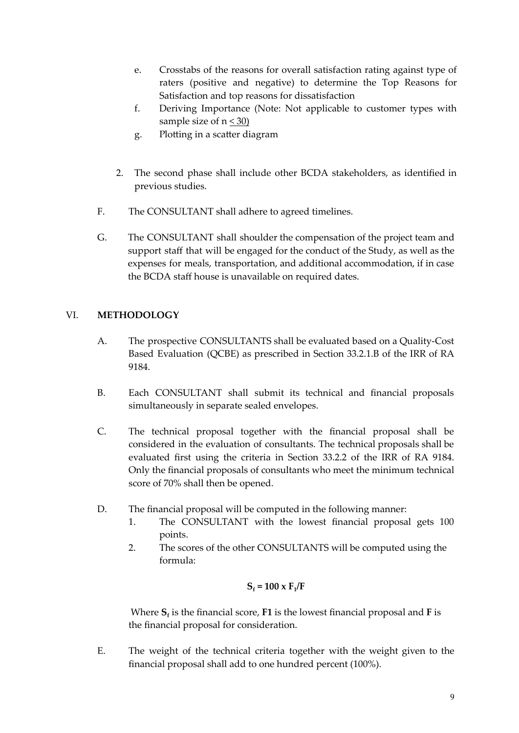- e. Crosstabs of the reasons for overall satisfaction rating against type of raters (positive and negative) to determine the Top Reasons for Satisfaction and top reasons for dissatisfaction
- f. Deriving Importance (Note: Not applicable to customer types with sample size of  $n \leq 30$
- g. Plotting in a scatter diagram
- 2. The second phase shall include other BCDA stakeholders, as identified in previous studies.
- F. The CONSULTANT shall adhere to agreed timelines.
- G. The CONSULTANT shall shoulder the compensation of the project team and support staff that will be engaged for the conduct of the Study, as well as the expenses for meals, transportation, and additional accommodation, if in case the BCDA staff house is unavailable on required dates.

# VI. **METHODOLOGY**

- A. The prospective CONSULTANTS shall be evaluated based on a Quality-Cost Based Evaluation (QCBE) as prescribed in Section 33.2.1.B of the IRR of RA 9184.
- B. Each CONSULTANT shall submit its technical and financial proposals simultaneously in separate sealed envelopes.
- C. The technical proposal together with the financial proposal shall be considered in the evaluation of consultants. The technical proposals shall be evaluated first using the criteria in Section 33.2.2 of the IRR of RA 9184. Only the financial proposals of consultants who meet the minimum technical score of 70% shall then be opened.
- D. The financial proposal will be computed in the following manner:
	- 1. The CONSULTANT with the lowest financial proposal gets 100 points.
	- 2. The scores of the other CONSULTANTS will be computed using the formula:

$$
S_f = 100 \times F_1/F
$$

Where **S<sup>f</sup>** is the financial score, **F1** is the lowest financial proposal and **F** is the financial proposal for consideration.

E. The weight of the technical criteria together with the weight given to the financial proposal shall add to one hundred percent (100%).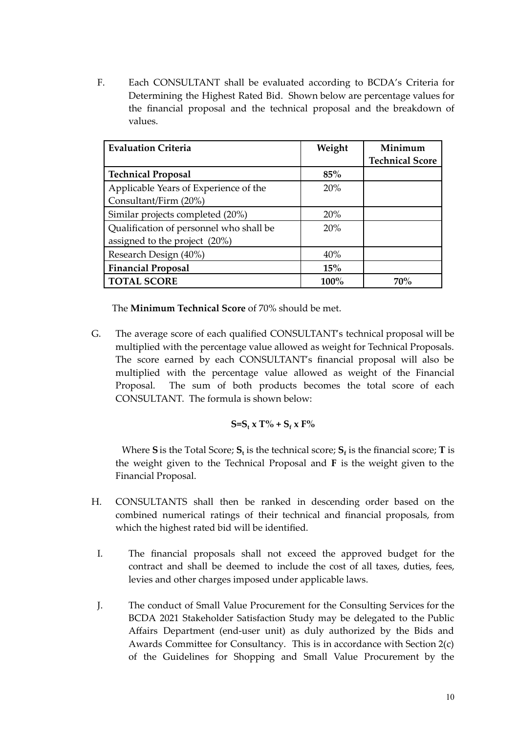F. Each CONSULTANT shall be evaluated according to BCDA's Criteria for Determining the Highest Rated Bid. Shown below are percentage values for the financial proposal and the technical proposal and the breakdown of values.

| <b>Evaluation Criteria</b>              | Weight  | Minimum                |
|-----------------------------------------|---------|------------------------|
|                                         |         | <b>Technical Score</b> |
| <b>Technical Proposal</b>               | 85%     |                        |
| Applicable Years of Experience of the   | 20%     |                        |
| Consultant/Firm (20%)                   |         |                        |
| Similar projects completed (20%)        | 20%     |                        |
| Qualification of personnel who shall be | 20%     |                        |
| assigned to the project (20%)           |         |                        |
| Research Design (40%)                   | 40%     |                        |
| <b>Financial Proposal</b>               | 15%     |                        |
| <b>TOTAL SCORE</b>                      | $100\%$ | 70 <sup>%</sup>        |

The **Minimum Technical Score** of 70% should be met.

G. The average score of each qualified CONSULTANT's technical proposal will be multiplied with the percentage value allowed as weight for Technical Proposals. The score earned by each CONSULTANT's financial proposal will also be multiplied with the percentage value allowed as weight of the Financial Proposal. The sum of both products becomes the total score of each CONSULTANT. The formula is shown below:

$$
S=S_t x T\% + S_f x F\%
$$

Where **S** is the Total Score;  $S_t$  is the technical score;  $S_f$  is the financial score; **T** is the weight given to the Technical Proposal and **F** is the weight given to the Financial Proposal.

- H. CONSULTANTS shall then be ranked in descending order based on the combined numerical ratings of their technical and financial proposals, from which the highest rated bid will be identified.
	- I. The financial proposals shall not exceed the approved budget for the contract and shall be deemed to include the cost of all taxes, duties, fees, levies and other charges imposed under applicable laws.
	- J. The conduct of Small Value Procurement for the Consulting Services for the BCDA 2021 Stakeholder Satisfaction Study may be delegated to the Public Affairs Department (end-user unit) as duly authorized by the Bids and Awards Committee for Consultancy. This is in accordance with Section 2(c) of the Guidelines for Shopping and Small Value Procurement by the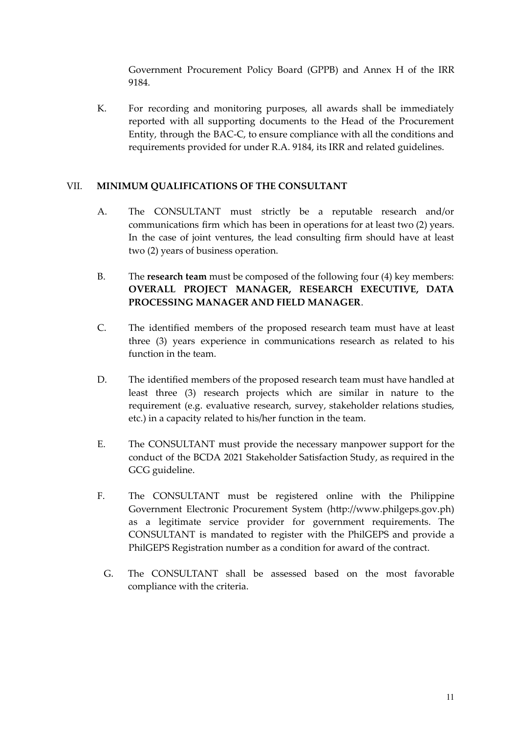Government Procurement Policy Board (GPPB) and Annex H of the IRR 9184.

K. For recording and monitoring purposes, all awards shall be immediately reported with all supporting documents to the Head of the Procurement Entity, through the BAC-C, to ensure compliance with all the conditions and requirements provided for under R.A. 9184, its IRR and related guidelines.

## VII. **MINIMUM QUALIFICATIONS OF THE CONSULTANT**

- A. The CONSULTANT must strictly be a reputable research and/or communications firm which has been in operations for at least two (2) years. In the case of joint ventures, the lead consulting firm should have at least two (2) years of business operation.
- B. The **research team** must be composed of the following four (4) key members: **OVERALL PROJECT MANAGER, RESEARCH EXECUTIVE, DATA PROCESSING MANAGER AND FIELD MANAGER**.
- C. The identified members of the proposed research team must have at least three (3) years experience in communications research as related to his function in the team.
- D. The identified members of the proposed research team must have handled at least three (3) research projects which are similar in nature to the requirement (e.g. evaluative research, survey, stakeholder relations studies, etc.) in a capacity related to his/her function in the team.
- E. The CONSULTANT must provide the necessary manpower support for the conduct of the BCDA 2021 Stakeholder Satisfaction Study, as required in the GCG guideline.
- F. The CONSULTANT must be registered online with the Philippine Government Electronic Procurement System (http://www.philgeps.gov.ph) as a legitimate service provider for government requirements. The CONSULTANT is mandated to register with the PhilGEPS and provide a PhilGEPS Registration number as a condition for award of the contract.
- G. The CONSULTANT shall be assessed based on the most favorable compliance with the criteria.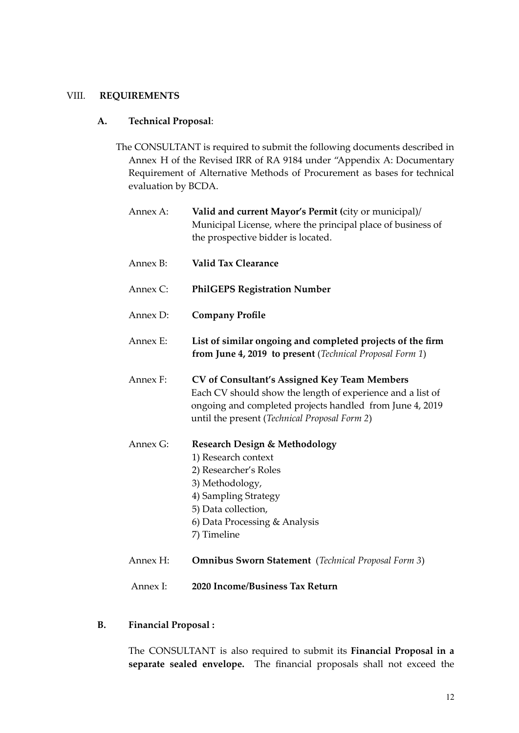#### VIII. **REQUIREMENTS**

#### **A. Technical Proposal**:

The CONSULTANT is required to submit the following documents described in Annex H of the Revised IRR of RA 9184 under "Appendix A: Documentary Requirement of Alternative Methods of Procurement as bases for technical evaluation by BCDA.

| Annex A: | Valid and current Mayor's Permit (city or municipal)/<br>Municipal License, where the principal place of business of<br>the prospective bidder is located.                                                                     |
|----------|--------------------------------------------------------------------------------------------------------------------------------------------------------------------------------------------------------------------------------|
| Annex B: | <b>Valid Tax Clearance</b>                                                                                                                                                                                                     |
| Annex C: | <b>PhilGEPS Registration Number</b>                                                                                                                                                                                            |
| Annex D: | <b>Company Profile</b>                                                                                                                                                                                                         |
| Annex E: | List of similar ongoing and completed projects of the firm<br>from June 4, 2019 to present (Technical Proposal Form 1)                                                                                                         |
| Annex F: | <b>CV</b> of Consultant's Assigned Key Team Members<br>Each CV should show the length of experience and a list of<br>ongoing and completed projects handled from June 4, 2019<br>until the present (Technical Proposal Form 2) |
| Annex G: | <b>Research Design &amp; Methodology</b><br>1) Research context<br>2) Researcher's Roles<br>3) Methodology,<br>4) Sampling Strategy<br>5) Data collection,<br>6) Data Processing & Analysis<br>7) Timeline                     |
| Annex H: | <b>Omnibus Sworn Statement</b> (Technical Proposal Form 3)                                                                                                                                                                     |

- Annex I: **2020 Income/Business Tax Return**
- **B. Financial Proposal :**

The CONSULTANT is also required to submit its **Financial Proposal in a separate sealed envelope.** The financial proposals shall not exceed the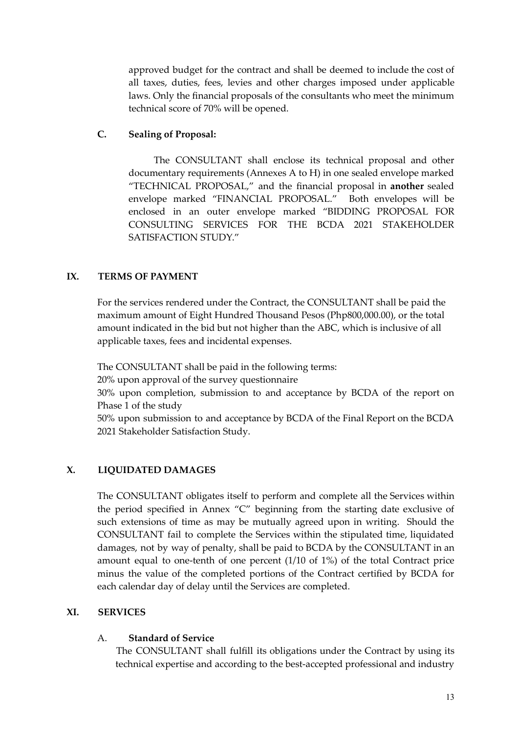approved budget for the contract and shall be deemed to include the cost of all taxes, duties, fees, levies and other charges imposed under applicable laws. Only the financial proposals of the consultants who meet the minimum technical score of 70% will be opened.

## **C. Sealing of Proposal:**

The CONSULTANT shall enclose its technical proposal and other documentary requirements (Annexes A to H) in one sealed envelope marked "TECHNICAL PROPOSAL," and the financial proposal in **another** sealed envelope marked "FINANCIAL PROPOSAL." Both envelopes will be enclosed in an outer envelope marked "BIDDING PROPOSAL FOR CONSULTING SERVICES FOR THE BCDA 2021 STAKEHOLDER SATISFACTION STUDY."

# **IX. TERMS OF PAYMENT**

For the services rendered under the Contract, the CONSULTANT shall be paid the maximum amount of Eight Hundred Thousand Pesos (Php800,000.00), or the total amount indicated in the bid but not higher than the ABC, which is inclusive of all applicable taxes, fees and incidental expenses.

The CONSULTANT shall be paid in the following terms:

20% upon approval of the survey questionnaire

30% upon completion, submission to and acceptance by BCDA of the report on Phase 1 of the study

50% upon submission to and acceptance by BCDA of the Final Report on the BCDA 2021 Stakeholder Satisfaction Study.

# **X. LIQUIDATED DAMAGES**

The CONSULTANT obligates itself to perform and complete all the Services within the period specified in Annex "C" beginning from the starting date exclusive of such extensions of time as may be mutually agreed upon in writing. Should the CONSULTANT fail to complete the Services within the stipulated time, liquidated damages, not by way of penalty, shall be paid to BCDA by the CONSULTANT in an amount equal to one-tenth of one percent (1/10 of 1%) of the total Contract price minus the value of the completed portions of the Contract certified by BCDA for each calendar day of delay until the Services are completed.

### **XI. SERVICES**

### A. **Standard of Service**

The CONSULTANT shall fulfill its obligations under the Contract by using its technical expertise and according to the best-accepted professional and industry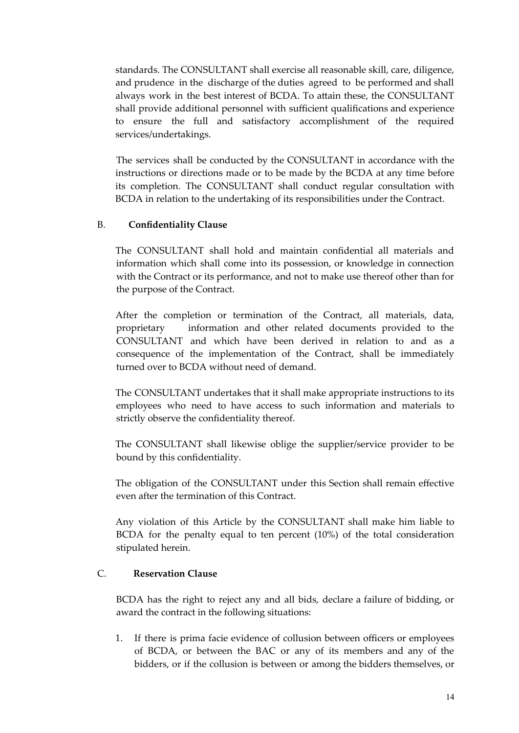standards. The CONSULTANT shall exercise all reasonable skill, care, diligence, and prudence in the discharge of the duties agreed to be performed and shall always work in the best interest of BCDA. To attain these, the CONSULTANT shall provide additional personnel with sufficient qualifications and experience to ensure the full and satisfactory accomplishment of the required services/undertakings.

The services shall be conducted by the CONSULTANT in accordance with the instructions or directions made or to be made by the BCDA at any time before its completion. The CONSULTANT shall conduct regular consultation with BCDA in relation to the undertaking of its responsibilities under the Contract.

## B. **Confidentiality Clause**

The CONSULTANT shall hold and maintain confidential all materials and information which shall come into its possession, or knowledge in connection with the Contract or its performance, and not to make use thereof other than for the purpose of the Contract.

After the completion or termination of the Contract, all materials, data, proprietary information and other related documents provided to the CONSULTANT and which have been derived in relation to and as a consequence of the implementation of the Contract, shall be immediately turned over to BCDA without need of demand.

The CONSULTANT undertakes that it shall make appropriate instructions to its employees who need to have access to such information and materials to strictly observe the confidentiality thereof.

The CONSULTANT shall likewise oblige the supplier/service provider to be bound by this confidentiality.

The obligation of the CONSULTANT under this Section shall remain effective even after the termination of this Contract.

Any violation of this Article by the CONSULTANT shall make him liable to BCDA for the penalty equal to ten percent (10%) of the total consideration stipulated herein.

### C. **Reservation Clause**

BCDA has the right to reject any and all bids, declare a failure of bidding, or award the contract in the following situations:

1. If there is prima facie evidence of collusion between officers or employees of BCDA, or between the BAC or any of its members and any of the bidders, or if the collusion is between or among the bidders themselves, or